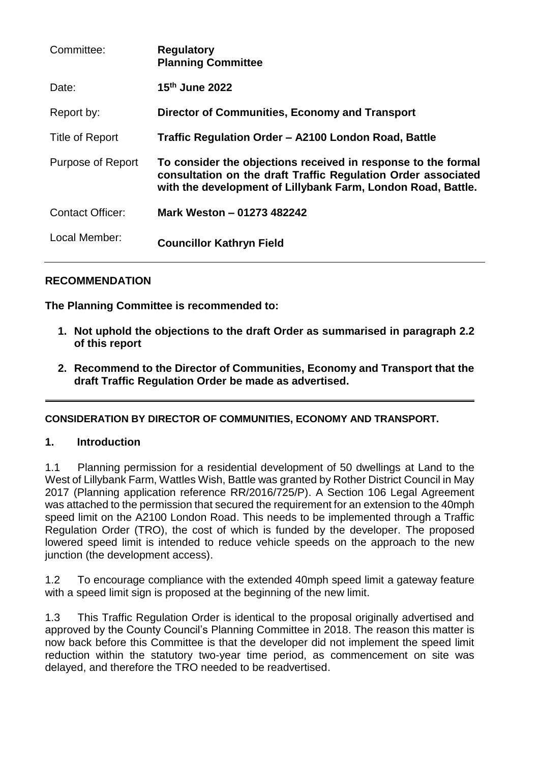| Committee:              | <b>Regulatory</b><br><b>Planning Committee</b>                                                                                                                                                 |
|-------------------------|------------------------------------------------------------------------------------------------------------------------------------------------------------------------------------------------|
| Date:                   | $15th$ June 2022                                                                                                                                                                               |
| Report by:              | <b>Director of Communities, Economy and Transport</b>                                                                                                                                          |
| Title of Report         | Traffic Regulation Order - A2100 London Road, Battle                                                                                                                                           |
| Purpose of Report       | To consider the objections received in response to the formal<br>consultation on the draft Traffic Regulation Order associated<br>with the development of Lillybank Farm, London Road, Battle. |
| <b>Contact Officer:</b> | Mark Weston - 01273 482242                                                                                                                                                                     |
| Local Member:           | <b>Councillor Kathryn Field</b>                                                                                                                                                                |

## **RECOMMENDATION**

**The Planning Committee is recommended to:**

- **1. Not uphold the objections to the draft Order as summarised in paragraph 2.2 of this report**
- **2. Recommend to the Director of Communities, Economy and Transport that the draft Traffic Regulation Order be made as advertised.**

### **CONSIDERATION BY DIRECTOR OF COMMUNITIES, ECONOMY AND TRANSPORT.**

### **1. Introduction**

1.1 Planning permission for a residential development of 50 dwellings at Land to the West of Lillybank Farm, Wattles Wish, Battle was granted by Rother District Council in May 2017 (Planning application reference RR/2016/725/P). A Section 106 Legal Agreement was attached to the permission that secured the requirement for an extension to the 40mph speed limit on the A2100 London Road. This needs to be implemented through a Traffic Regulation Order (TRO), the cost of which is funded by the developer. The proposed lowered speed limit is intended to reduce vehicle speeds on the approach to the new junction (the development access).

1.2 To encourage compliance with the extended 40mph speed limit a gateway feature with a speed limit sign is proposed at the beginning of the new limit.

1.3 This Traffic Regulation Order is identical to the proposal originally advertised and approved by the County Council's Planning Committee in 2018. The reason this matter is now back before this Committee is that the developer did not implement the speed limit reduction within the statutory two-year time period, as commencement on site was delayed, and therefore the TRO needed to be readvertised.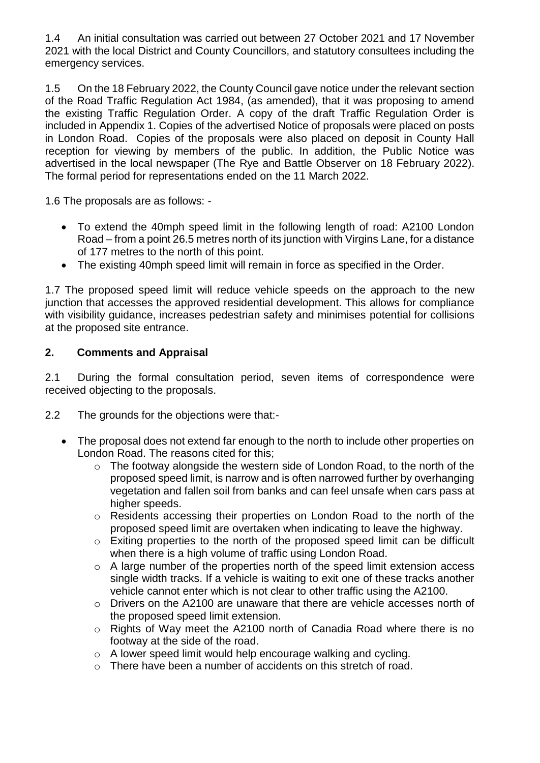1.4 An initial consultation was carried out between 27 October 2021 and 17 November 2021 with the local District and County Councillors, and statutory consultees including the emergency services.

1.5 On the 18 February 2022, the County Council gave notice under the relevant section of the Road Traffic Regulation Act 1984, (as amended), that it was proposing to amend the existing Traffic Regulation Order. A copy of the draft Traffic Regulation Order is included in Appendix 1. Copies of the advertised Notice of proposals were placed on posts in London Road. Copies of the proposals were also placed on deposit in County Hall reception for viewing by members of the public. In addition, the Public Notice was advertised in the local newspaper (The Rye and Battle Observer on 18 February 2022). The formal period for representations ended on the 11 March 2022.

1.6 The proposals are as follows: -

- To extend the 40mph speed limit in the following length of road: A2100 London Road – from a point 26.5 metres north of its junction with Virgins Lane, for a distance of 177 metres to the north of this point.
- The existing 40mph speed limit will remain in force as specified in the Order.

1.7 The proposed speed limit will reduce vehicle speeds on the approach to the new junction that accesses the approved residential development. This allows for compliance with visibility quidance, increases pedestrian safety and minimises potential for collisions at the proposed site entrance.

### **2. Comments and Appraisal**

2.1 During the formal consultation period, seven items of correspondence were received objecting to the proposals.

- 2.2 The grounds for the objections were that:-
	- The proposal does not extend far enough to the north to include other properties on London Road. The reasons cited for this;
		- o The footway alongside the western side of London Road, to the north of the proposed speed limit, is narrow and is often narrowed further by overhanging vegetation and fallen soil from banks and can feel unsafe when cars pass at higher speeds.
		- o Residents accessing their properties on London Road to the north of the proposed speed limit are overtaken when indicating to leave the highway.
		- o Exiting properties to the north of the proposed speed limit can be difficult when there is a high volume of traffic using London Road.
		- o A large number of the properties north of the speed limit extension access single width tracks. If a vehicle is waiting to exit one of these tracks another vehicle cannot enter which is not clear to other traffic using the A2100.
		- o Drivers on the A2100 are unaware that there are vehicle accesses north of the proposed speed limit extension.
		- o Rights of Way meet the A2100 north of Canadia Road where there is no footway at the side of the road.
		- o A lower speed limit would help encourage walking and cycling.
		- o There have been a number of accidents on this stretch of road.